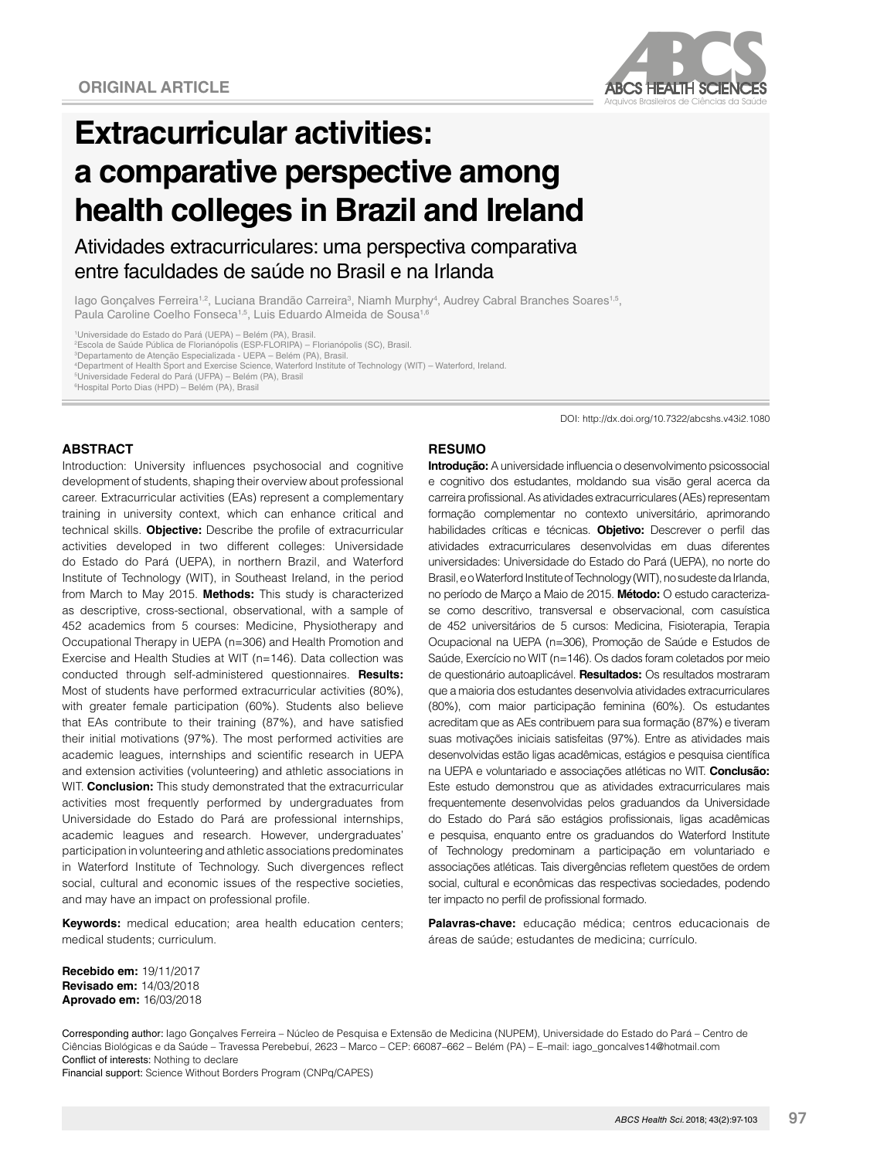

# **Extracurricular activities: a comparative perspective among health colleges in Brazil and Ireland**

Atividades extracurriculares: uma perspectiva comparativa entre faculdades de saúde no Brasil e na Irlanda

lago Gonçalves Ferreira<sup>1,2</sup>, Luciana Brandão Carreira<sup>3</sup>, Niamh Murphy<sup>4</sup>, Audrey Cabral Branches Soares<sup>1,5</sup>, Paula Caroline Coelho Fonseca<sup>1,5</sup>, Luis Eduardo Almeida de Sousa<sup>1,6</sup>

1 Universidade do Estado do Pará (UEPA) – Belém (PA), Brasil. 2 Escola de Saúde Pública de Florianópolis (ESP-FLORIPA) – Florianópolis (SC), Brasil.

3 Departamento de Atenção Especializada - UEPA – Belém (PA), Brasil.

4 Department of Health Sport and Exercise Science, Waterford Institute of Technology (WIT) – Waterford, Ireland.

5 Universidade Federal do Pará (UFPA) – Belém (PA), Brasil

6 Hospital Porto Dias (HPD) – Belém (PA), Brasil

#### **ABSTRACT**

Introduction: University influences psychosocial and cognitive development of students, shaping their overview about professional career. Extracurricular activities (EAs) represent a complementary training in university context, which can enhance critical and technical skills. **Objective:** Describe the profile of extracurricular activities developed in two different colleges: Universidade do Estado do Pará (UEPA), in northern Brazil, and Waterford Institute of Technology (WIT), in Southeast Ireland, in the period from March to May 2015. **Methods:** This study is characterized as descriptive, cross-sectional, observational, with a sample of 452 academics from 5 courses: Medicine, Physiotherapy and Occupational Therapy in UEPA (n=306) and Health Promotion and Exercise and Health Studies at WIT (n=146). Data collection was conducted through self-administered questionnaires. **Results:** Most of students have performed extracurricular activities (80%), with greater female participation (60%). Students also believe that EAs contribute to their training (87%), and have satisfied their initial motivations (97%). The most performed activities are academic leagues, internships and scientific research in UEPA and extension activities (volunteering) and athletic associations in WIT. **Conclusion:** This study demonstrated that the extracurricular activities most frequently performed by undergraduates from Universidade do Estado do Pará are professional internships, academic leagues and research. However, undergraduates' participation in volunteering and athletic associations predominates in Waterford Institute of Technology. Such divergences reflect social, cultural and economic issues of the respective societies, and may have an impact on professional profile.

**Keywords:** medical education; area health education centers; medical students; curriculum.

DOI: http://dx.doi.org/10.7322/abcshs.v43i2.1080

#### **RESUMO**

**Introdução:** A universidade influencia o desenvolvimento psicossocial e cognitivo dos estudantes, moldando sua visão geral acerca da carreira profissional. As atividades extracurriculares (AEs) representam formação complementar no contexto universitário, aprimorando habilidades críticas e técnicas. **Objetivo:** Descrever o perfil das atividades extracurriculares desenvolvidas em duas diferentes universidades: Universidade do Estado do Pará (UEPA), no norte do Brasil, e o Waterford Institute of Technology (WIT), no sudeste da Irlanda, no período de Março a Maio de 2015. **Método:** O estudo caracterizase como descritivo, transversal e observacional, com casuística de 452 universitários de 5 cursos: Medicina, Fisioterapia, Terapia Ocupacional na UEPA (n=306), Promoção de Saúde e Estudos de Saúde, Exercício no WIT (n=146). Os dados foram coletados por meio de questionário autoaplicável. **Resultados:** Os resultados mostraram que a maioria dos estudantes desenvolvia atividades extracurriculares (80%), com maior participação feminina (60%). Os estudantes acreditam que as AEs contribuem para sua formação (87%) e tiveram suas motivações iniciais satisfeitas (97%). Entre as atividades mais desenvolvidas estão ligas acadêmicas, estágios e pesquisa científica na UEPA e voluntariado e associações atléticas no WIT. **Conclusão:** Este estudo demonstrou que as atividades extracurriculares mais frequentemente desenvolvidas pelos graduandos da Universidade do Estado do Pará são estágios profissionais, ligas acadêmicas e pesquisa, enquanto entre os graduandos do Waterford Institute of Technology predominam a participação em voluntariado e associações atléticas. Tais divergências refletem questões de ordem social, cultural e econômicas das respectivas sociedades, podendo ter impacto no perfil de profissional formado.

**Palavras-chave:** educação médica; centros educacionais de áreas de saúde; estudantes de medicina; currículo.

**Recebido em:** 19/11/2017 **Revisado em:** 14/03/2018 **Aprovado em:** 16/03/2018

Corresponding author: Iago Gonçalves Ferreira – Núcleo de Pesquisa e Extensão de Medicina (NUPEM), Universidade do Estado do Pará – Centro de Ciências Biológicas e da Saúde – Travessa Perebebuí, 2623 – Marco – CEP: 66087–662 – Belém (PA) – E–mail: iago\_goncalves14@hotmail.com Conflict of interests: Nothing to declare

Financial support: Science Without Borders Program (CNPq/CAPES)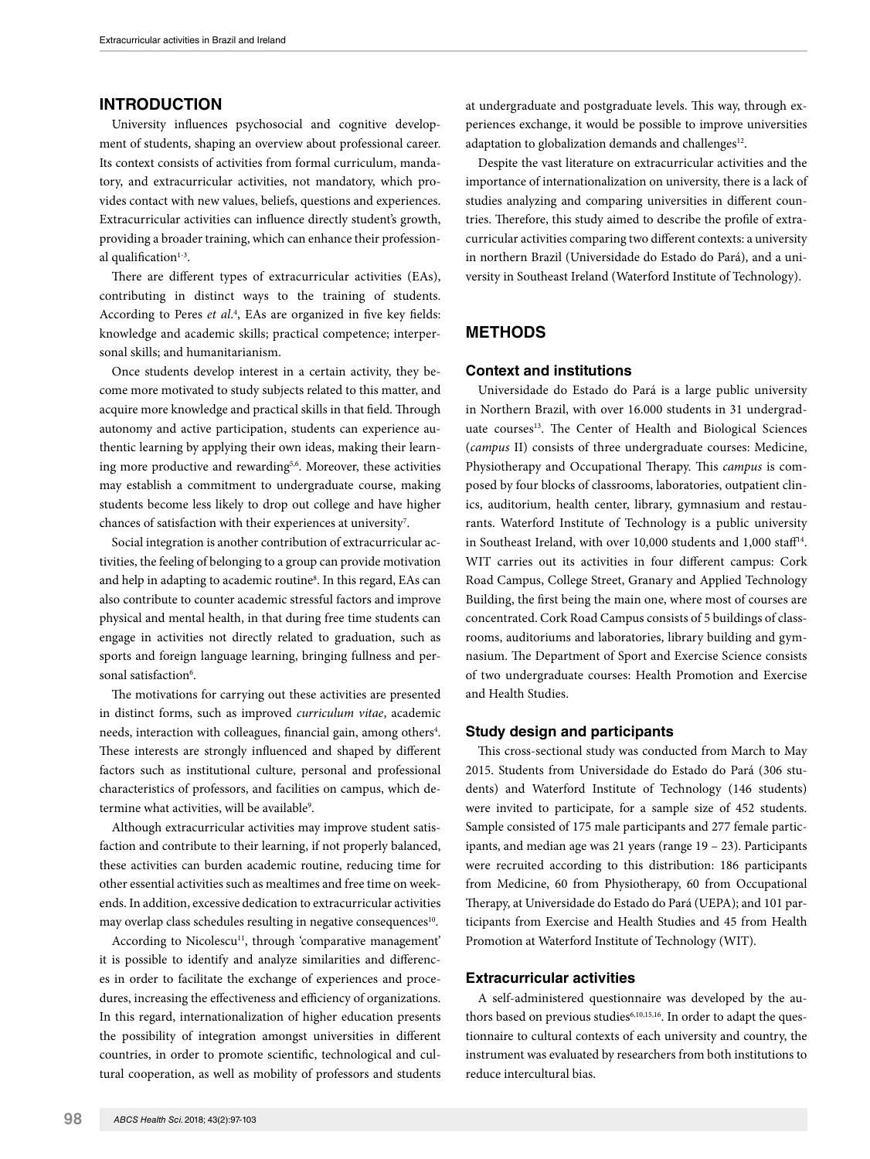## **INTRODUCTION**

University influences psychosocial and cognitive development of students, shaping an overview about professional career. Its context consists of activities from formal curriculum, mandatory, and extracurricular activities, not mandatory, which provides contact with new values, beliefs, questions and experiences. Extracurricular activities can influence directly student's growth, providing a broader training, which can enhance their professional qualification $1-3$ .

There are different types of extracurricular activities (EAs), contributing in distinct ways to the training of students. According to Peres *et al*. 4 , EAs are organized in five key fields: knowledge and academic skills; practical competence; interpersonal skills; and humanitarianism.

Once students develop interest in a certain activity, they become more motivated to study subjects related to this matter, and acquire more knowledge and practical skills in that field. Through autonomy and active participation, students can experience authentic learning by applying their own ideas, making their learning more productive and rewarding<sup>5,6</sup>. Moreover, these activities may establish a commitment to undergraduate course, making students become less likely to drop out college and have higher chances of satisfaction with their experiences at university<sup>7</sup>.

Social integration is another contribution of extracurricular activities, the feeling of belonging to a group can provide motivation and help in adapting to academic routine<sup>8</sup>. In this regard, EAs can also contribute to counter academic stressful factors and improve physical and mental health, in that during free time students can engage in activities not directly related to graduation, such as sports and foreign language learning, bringing fullness and personal satisfaction<sup>6</sup>.

The motivations for carrying out these activities are presented in distinct forms, such as improved *curriculum vitae*, academic needs, interaction with colleagues, financial gain, among others<sup>4</sup>. These interests are strongly influenced and shaped by different factors such as institutional culture, personal and professional characteristics of professors, and facilities on campus, which determine what activities, will be available<sup>9</sup>.

Although extracurricular activities may improve student satisfaction and contribute to their learning, if not properly balanced, these activities can burden academic routine, reducing time for other essential activities such as mealtimes and free time on weekends. In addition, excessive dedication to extracurricular activities may overlap class schedules resulting in negative consequences<sup>10</sup>.

According to Nicolescu<sup>11</sup>, through 'comparative management' it is possible to identify and analyze similarities and differences in order to facilitate the exchange of experiences and procedures, increasing the effectiveness and efficiency of organizations. In this regard, internationalization of higher education presents the possibility of integration amongst universities in different countries, in order to promote scientific, technological and cultural cooperation, as well as mobility of professors and students

at undergraduate and postgraduate levels. This way, through experiences exchange, it would be possible to improve universities adaptation to globalization demands and challenges<sup>12</sup>.

Despite the vast literature on extracurricular activities and the importance of internationalization on university, there is a lack of studies analyzing and comparing universities in different countries. Therefore, this study aimed to describe the profile of extracurricular activities comparing two different contexts: a university in northern Brazil (Universidade do Estado do Pará), and a university in Southeast Ireland (Waterford Institute of Technology).

# **METHODS**

#### **Context and institutions**

Universidade do Estado do Pará is a large public university in Northern Brazil, with over 16.000 students in 31 undergraduate courses<sup>13</sup>. The Center of Health and Biological Sciences (*campus* II) consists of three undergraduate courses: Medicine, Physiotherapy and Occupational Therapy. This *campus* is composed by four blocks of classrooms, laboratories, outpatient clinics, auditorium, health center, library, gymnasium and restaurants. Waterford Institute of Technology is a public university in Southeast Ireland, with over 10,000 students and 1,000 staff<sup>14</sup>. WIT carries out its activities in four different campus: Cork Road Campus, College Street, Granary and Applied Technology Building, the first being the main one, where most of courses are concentrated. Cork Road Campus consists of 5 buildings of classrooms, auditoriums and laboratories, library building and gymnasium. The Department of Sport and Exercise Science consists of two undergraduate courses: Health Promotion and Exercise and Health Studies.

#### **Study design and participants**

This cross-sectional study was conducted from March to May 2015. Students from Universidade do Estado do Pará (306 students) and Waterford Institute of Technology (146 students) were invited to participate, for a sample size of 452 students. Sample consisted of 175 male participants and 277 female participants, and median age was 21 years (range 19 – 23). Participants were recruited according to this distribution: 186 participants from Medicine, 60 from Physiotherapy, 60 from Occupational Therapy, at Universidade do Estado do Pará (UEPA); and 101 participants from Exercise and Health Studies and 45 from Health Promotion at Waterford Institute of Technology (WIT).

## **Extracurricular activities**

A self-administered questionnaire was developed by the authors based on previous studies<sup>6,10,15,16</sup>. In order to adapt the questionnaire to cultural contexts of each university and country, the instrument was evaluated by researchers from both institutions to reduce intercultural bias.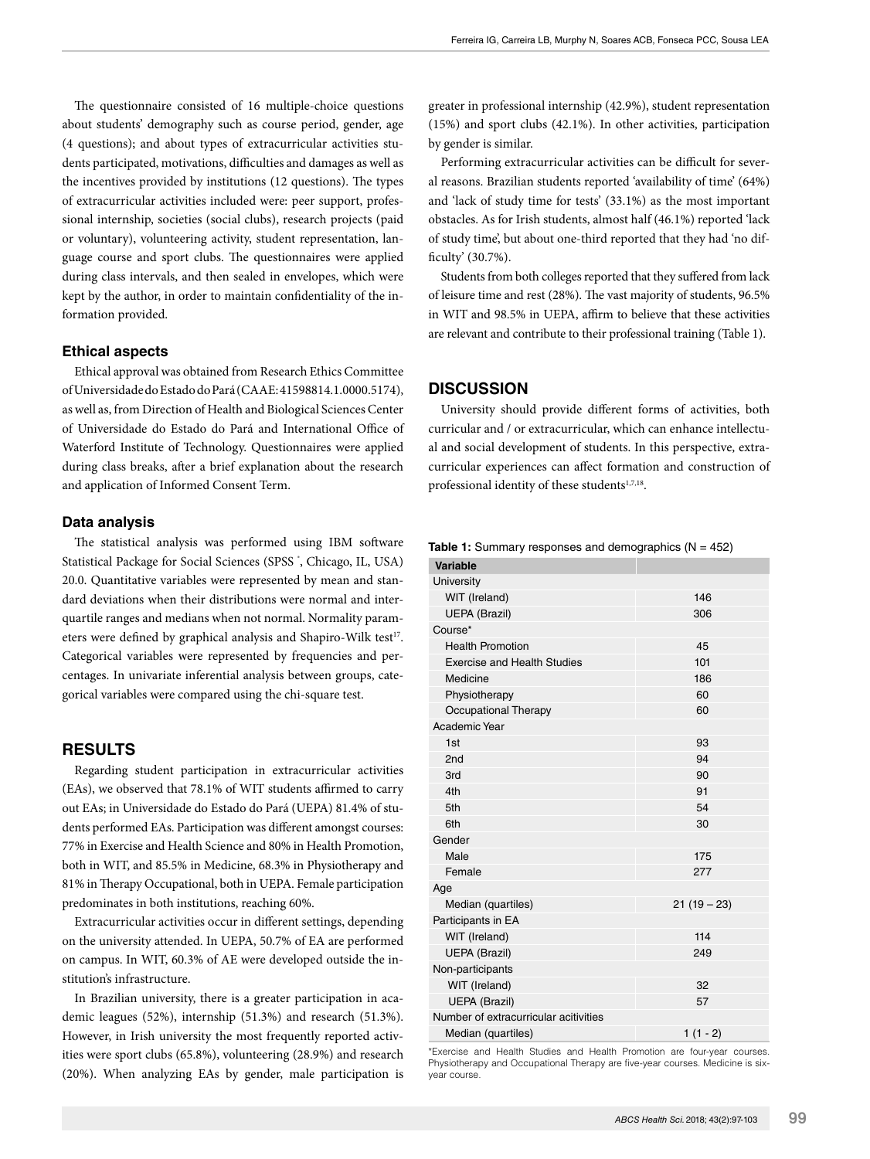The questionnaire consisted of 16 multiple-choice questions about students' demography such as course period, gender, age (4 questions); and about types of extracurricular activities students participated, motivations, difficulties and damages as well as the incentives provided by institutions (12 questions). The types of extracurricular activities included were: peer support, professional internship, societies (social clubs), research projects (paid or voluntary), volunteering activity, student representation, language course and sport clubs. The questionnaires were applied during class intervals, and then sealed in envelopes, which were kept by the author, in order to maintain confidentiality of the information provided.

# **Ethical aspects**

Ethical approval was obtained from Research Ethics Committee of Universidade do Estado do Pará (CAAE: 41598814.1.0000.5174), as well as, from Direction of Health and Biological Sciences Center of Universidade do Estado do Pará and International Office of Waterford Institute of Technology. Questionnaires were applied during class breaks, after a brief explanation about the research and application of Informed Consent Term.

#### **Data analysis**

The statistical analysis was performed using IBM software Statistical Package for Social Sciences (SPSS ® , Chicago, IL, USA) 20.0. Quantitative variables were represented by mean and standard deviations when their distributions were normal and interquartile ranges and medians when not normal. Normality parameters were defined by graphical analysis and Shapiro-Wilk test<sup>17</sup>. Categorical variables were represented by frequencies and percentages. In univariate inferential analysis between groups, categorical variables were compared using the chi-square test.

## **RESULTS**

Regarding student participation in extracurricular activities (EAs), we observed that 78.1% of WIT students affirmed to carry out EAs; in Universidade do Estado do Pará (UEPA) 81.4% of students performed EAs. Participation was different amongst courses: 77% in Exercise and Health Science and 80% in Health Promotion, both in WIT, and 85.5% in Medicine, 68.3% in Physiotherapy and 81% in Therapy Occupational, both in UEPA. Female participation predominates in both institutions, reaching 60%.

Extracurricular activities occur in different settings, depending on the university attended. In UEPA, 50.7% of EA are performed on campus. In WIT, 60.3% of AE were developed outside the institution's infrastructure.

In Brazilian university, there is a greater participation in academic leagues (52%), internship (51.3%) and research (51.3%). However, in Irish university the most frequently reported activities were sport clubs (65.8%), volunteering (28.9%) and research (20%). When analyzing EAs by gender, male participation is

greater in professional internship (42.9%), student representation (15%) and sport clubs (42.1%). In other activities, participation by gender is similar.

Performing extracurricular activities can be difficult for several reasons. Brazilian students reported 'availability of time' (64%) and 'lack of study time for tests' (33.1%) as the most important obstacles. As for Irish students, almost half (46.1%) reported 'lack of study time', but about one-third reported that they had 'no difficulty' (30.7%).

Students from both colleges reported that they suffered from lack of leisure time and rest (28%). The vast majority of students, 96.5% in WIT and 98.5% in UEPA, affirm to believe that these activities are relevant and contribute to their professional training (Table 1).

#### **DISCUSSION**

University should provide different forms of activities, both curricular and / or extracurricular, which can enhance intellectual and social development of students. In this perspective, extracurricular experiences can affect formation and construction of professional identity of these students<sup>1,7,18</sup>.

|  |  |  |  |  | <b>Table 1:</b> Summary responses and demographics (N = 452) |  |  |
|--|--|--|--|--|--------------------------------------------------------------|--|--|
|--|--|--|--|--|--------------------------------------------------------------|--|--|

| <b>Variable</b>                       |             |  |  |  |
|---------------------------------------|-------------|--|--|--|
| University                            |             |  |  |  |
| WIT (Ireland)                         | 146         |  |  |  |
| <b>UEPA (Brazil)</b>                  | 306         |  |  |  |
| Course*                               |             |  |  |  |
| <b>Health Promotion</b>               | 45          |  |  |  |
| <b>Exercise and Health Studies</b>    | 101         |  |  |  |
| Medicine                              | 186         |  |  |  |
| Physiotherapy                         | 60          |  |  |  |
| Occupational Therapy                  | 60          |  |  |  |
| Academic Year                         |             |  |  |  |
| 1st                                   | 93          |  |  |  |
| 2nd                                   | 94          |  |  |  |
| 3rd                                   | 90          |  |  |  |
| 4th                                   | 91          |  |  |  |
| 5th                                   | 54          |  |  |  |
| 6th                                   | 30          |  |  |  |
| Gender                                |             |  |  |  |
| Male                                  | 175         |  |  |  |
| Female                                | 277         |  |  |  |
| Age                                   |             |  |  |  |
| Median (quartiles)                    | $21(19-23)$ |  |  |  |
| Participants in EA                    |             |  |  |  |
| WIT (Ireland)                         | 114         |  |  |  |
| <b>UEPA (Brazil)</b>                  | 249         |  |  |  |
| Non-participants                      |             |  |  |  |
| WIT (Ireland)                         | 32          |  |  |  |
| <b>UEPA (Brazil)</b>                  | 57          |  |  |  |
| Number of extracurricular acitivities |             |  |  |  |
| Median (quartiles)                    | $1(1 - 2)$  |  |  |  |

\*Exercise and Health Studies and Health Promotion are four-year courses. Physiotherapy and Occupational Therapy are five-year courses. Medicine is sixyear course.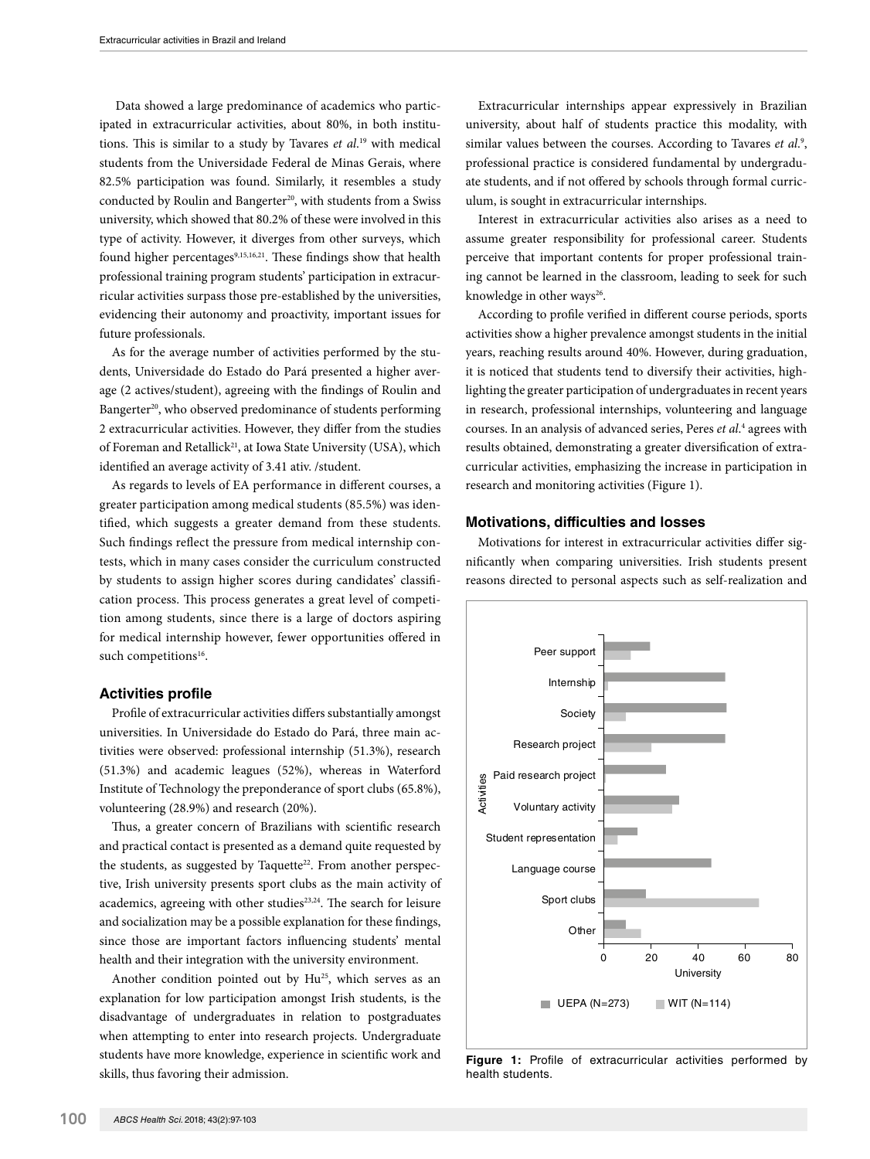Data showed a large predominance of academics who participated in extracurricular activities, about 80%, in both institutions. This is similar to a study by Tavares *et al*. 19 with medical students from the Universidade Federal de Minas Gerais, where 82.5% participation was found. Similarly, it resembles a study conducted by Roulin and Bangerter<sup>20</sup>, with students from a Swiss university, which showed that 80.2% of these were involved in this type of activity. However, it diverges from other surveys, which found higher percentages<sup>9,15,16,21</sup>. These findings show that health professional training program students' participation in extracurricular activities surpass those pre-established by the universities, evidencing their autonomy and proactivity, important issues for future professionals.

As for the average number of activities performed by the students, Universidade do Estado do Pará presented a higher average (2 actives/student), agreeing with the findings of Roulin and Bangerter<sup>20</sup>, who observed predominance of students performing 2 extracurricular activities. However, they differ from the studies of Foreman and Retallick<sup>21</sup>, at Iowa State University (USA), which identified an average activity of 3.41 ativ. /student.

As regards to levels of EA performance in different courses, a greater participation among medical students (85.5%) was identified, which suggests a greater demand from these students. Such findings reflect the pressure from medical internship contests, which in many cases consider the curriculum constructed by students to assign higher scores during candidates' classification process. This process generates a great level of competition among students, since there is a large of doctors aspiring for medical internship however, fewer opportunities offered in such competitions<sup>16</sup>.

## **Activities profile**

Profile of extracurricular activities differs substantially amongst universities. In Universidade do Estado do Pará, three main activities were observed: professional internship (51.3%), research (51.3%) and academic leagues (52%), whereas in Waterford Institute of Technology the preponderance of sport clubs (65.8%), volunteering (28.9%) and research (20%).

Thus, a greater concern of Brazilians with scientific research and practical contact is presented as a demand quite requested by the students, as suggested by Taquette<sup>22</sup>. From another perspective, Irish university presents sport clubs as the main activity of academics, agreeing with other studies<sup>23,24</sup>. The search for leisure and socialization may be a possible explanation for these findings, since those are important factors influencing students' mental health and their integration with the university environment.

Another condition pointed out by Hu<sup>25</sup>, which serves as an explanation for low participation amongst Irish students, is the disadvantage of undergraduates in relation to postgraduates when attempting to enter into research projects. Undergraduate students have more knowledge, experience in scientific work and skills, thus favoring their admission.

Extracurricular internships appear expressively in Brazilian university, about half of students practice this modality, with similar values between the courses. According to Tavares et al.<sup>9</sup>, professional practice is considered fundamental by undergraduate students, and if not offered by schools through formal curriculum, is sought in extracurricular internships.

Interest in extracurricular activities also arises as a need to assume greater responsibility for professional career. Students perceive that important contents for proper professional training cannot be learned in the classroom, leading to seek for such knowledge in other ways<sup>26</sup>.

According to profile verified in different course periods, sports activities show a higher prevalence amongst students in the initial years, reaching results around 40%. However, during graduation, it is noticed that students tend to diversify their activities, highlighting the greater participation of undergraduates in recent years in research, professional internships, volunteering and language courses. In an analysis of advanced series, Peres *et al*. 4 agrees with results obtained, demonstrating a greater diversification of extracurricular activities, emphasizing the increase in participation in research and monitoring activities (Figure 1).

#### **Motivations, difficulties and losses**

Motivations for interest in extracurricular activities differ significantly when comparing universities. Irish students present reasons directed to personal aspects such as self-realization and



**Figure 1:** Profile of extracurricular activities performed by health students.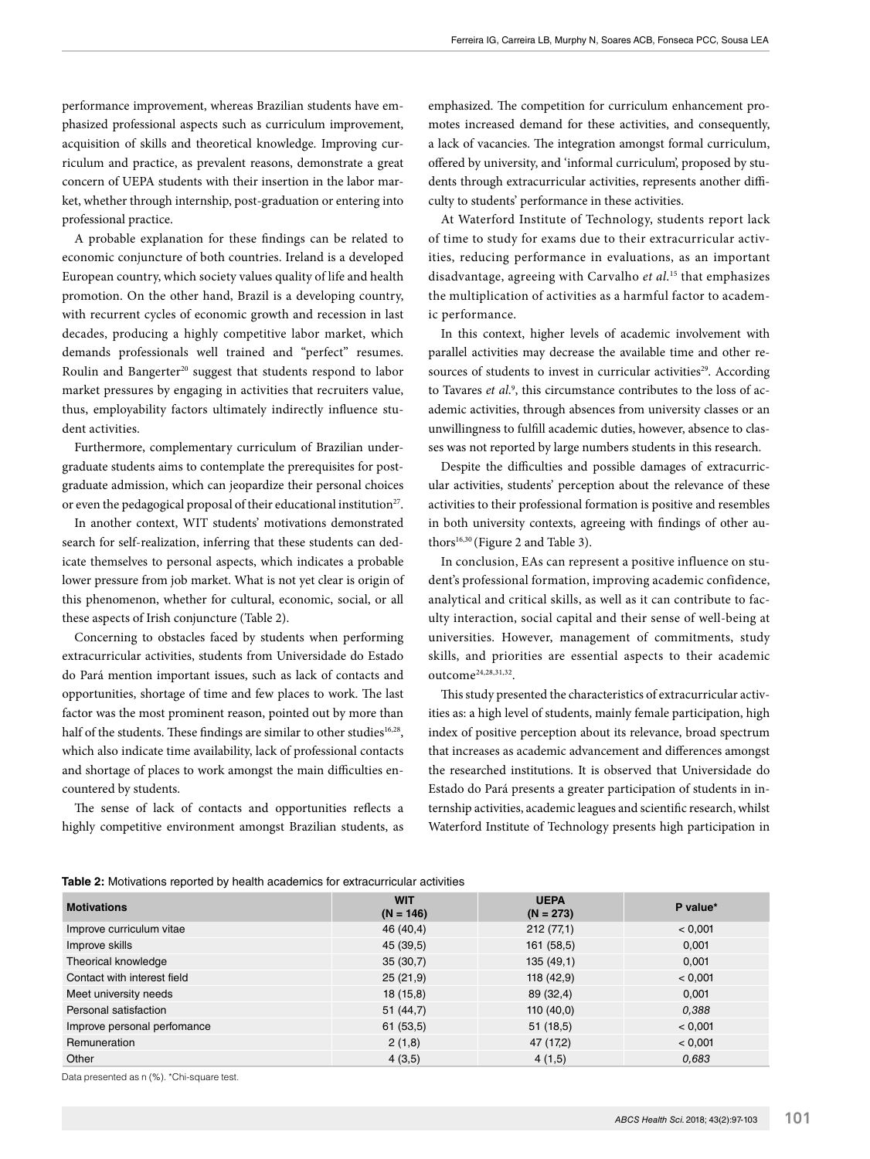performance improvement, whereas Brazilian students have emphasized professional aspects such as curriculum improvement, acquisition of skills and theoretical knowledge. Improving curriculum and practice, as prevalent reasons, demonstrate a great concern of UEPA students with their insertion in the labor market, whether through internship, post-graduation or entering into professional practice.

A probable explanation for these findings can be related to economic conjuncture of both countries. Ireland is a developed European country, which society values quality of life and health promotion. On the other hand, Brazil is a developing country, with recurrent cycles of economic growth and recession in last decades, producing a highly competitive labor market, which demands professionals well trained and "perfect" resumes. Roulin and Bangerter<sup>20</sup> suggest that students respond to labor market pressures by engaging in activities that recruiters value, thus, employability factors ultimately indirectly influence student activities.

Furthermore, complementary curriculum of Brazilian undergraduate students aims to contemplate the prerequisites for postgraduate admission, which can jeopardize their personal choices or even the pedagogical proposal of their educational institution<sup>27</sup>.

In another context, WIT students' motivations demonstrated search for self-realization, inferring that these students can dedicate themselves to personal aspects, which indicates a probable lower pressure from job market. What is not yet clear is origin of this phenomenon, whether for cultural, economic, social, or all these aspects of Irish conjuncture (Table 2).

Concerning to obstacles faced by students when performing extracurricular activities, students from Universidade do Estado do Pará mention important issues, such as lack of contacts and opportunities, shortage of time and few places to work. The last factor was the most prominent reason, pointed out by more than half of the students. These findings are similar to other studies<sup>16,28</sup>, which also indicate time availability, lack of professional contacts and shortage of places to work amongst the main difficulties encountered by students.

The sense of lack of contacts and opportunities reflects a highly competitive environment amongst Brazilian students, as

emphasized. The competition for curriculum enhancement promotes increased demand for these activities, and consequently, a lack of vacancies. The integration amongst formal curriculum, offered by university, and 'informal curriculum', proposed by students through extracurricular activities, represents another difficulty to students' performance in these activities.

At Waterford Institute of Technology, students report lack of time to study for exams due to their extracurricular activities, reducing performance in evaluations, as an important disadvantage, agreeing with Carvalho *et al*. 15 that emphasizes the multiplication of activities as a harmful factor to academic performance.

In this context, higher levels of academic involvement with parallel activities may decrease the available time and other resources of students to invest in curricular activities<sup>29</sup>. According to Tavares *et al*. 9 , this circumstance contributes to the loss of academic activities, through absences from university classes or an unwillingness to fulfill academic duties, however, absence to classes was not reported by large numbers students in this research.

Despite the difficulties and possible damages of extracurricular activities, students' perception about the relevance of these activities to their professional formation is positive and resembles in both university contexts, agreeing with findings of other authors<sup>16,30</sup> (Figure 2 and Table 3).

In conclusion, EAs can represent a positive influence on student's professional formation, improving academic confidence, analytical and critical skills, as well as it can contribute to faculty interaction, social capital and their sense of well-being at universities. However, management of commitments, study skills, and priorities are essential aspects to their academic outcome24,28,31,32.

This study presented the characteristics of extracurricular activities as: a high level of students, mainly female participation, high index of positive perception about its relevance, broad spectrum that increases as academic advancement and differences amongst the researched institutions. It is observed that Universidade do Estado do Pará presents a greater participation of students in internship activities, academic leagues and scientific research, whilst Waterford Institute of Technology presents high participation in

| Table 2: Motivations reported by health academics for extracurricular activities |  |  |  |  |  |
|----------------------------------------------------------------------------------|--|--|--|--|--|
|----------------------------------------------------------------------------------|--|--|--|--|--|

| <b>. wwith the contract of the company of the company of the company of the company of the company of the company of the company of the company of the company of the company of the company of the company of the company of th</b> |                           |                            |          |  |  |  |
|--------------------------------------------------------------------------------------------------------------------------------------------------------------------------------------------------------------------------------------|---------------------------|----------------------------|----------|--|--|--|
| <b>Motivations</b>                                                                                                                                                                                                                   | <b>WIT</b><br>$(N = 146)$ | <b>UEPA</b><br>$(N = 273)$ | P value* |  |  |  |
| Improve curriculum vitae                                                                                                                                                                                                             | 46 (40.4)                 | 212(77,1)                  | < 0.001  |  |  |  |
| Improve skills                                                                                                                                                                                                                       | 45 (39,5)                 | 161(58,5)                  | 0,001    |  |  |  |
| Theorical knowledge                                                                                                                                                                                                                  | 35(30,7)                  | 135(49,1)                  | 0.001    |  |  |  |
| Contact with interest field                                                                                                                                                                                                          | 25(21,9)                  | 118(42,9)                  | < 0.001  |  |  |  |
| Meet university needs                                                                                                                                                                                                                | 18(15,8)                  | 89 (32,4)                  | 0,001    |  |  |  |
| Personal satisfaction                                                                                                                                                                                                                | 51(44,7)                  | 110(40,0)                  | 0,388    |  |  |  |
| Improve personal perfomance                                                                                                                                                                                                          | 61 (53,5)                 | 51(18,5)                   | < 0.001  |  |  |  |
| <b>Remuneration</b>                                                                                                                                                                                                                  | 2(1,8)                    | 47 (17,2)                  | < 0.001  |  |  |  |
| Other                                                                                                                                                                                                                                | 4(3,5)                    | 4(1,5)                     | 0,683    |  |  |  |

Data presented as n (%). \*Chi-square test.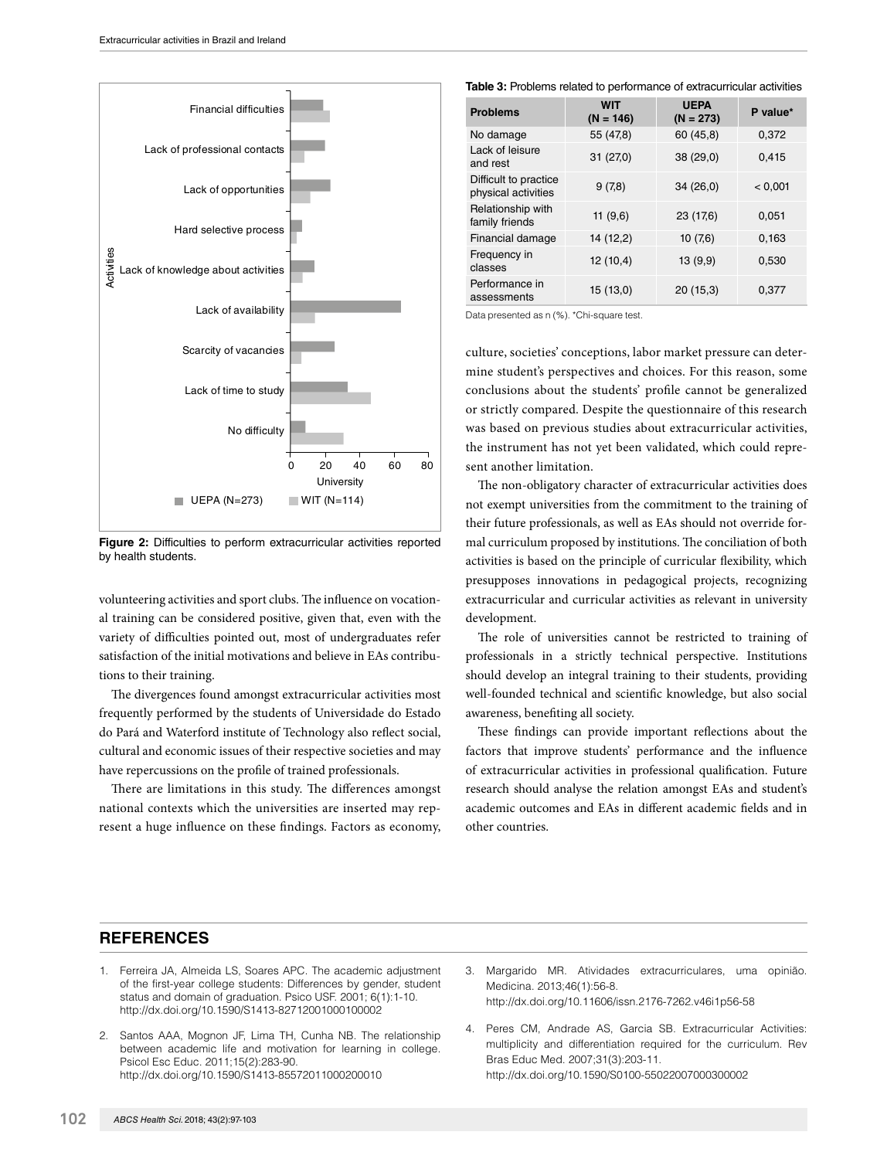

**Figure 2:** Difficulties to perform extracurricular activities reported by health students.

volunteering activities and sport clubs. The influence on vocational training can be considered positive, given that, even with the variety of difficulties pointed out, most of undergraduates refer satisfaction of the initial motivations and believe in EAs contributions to their training.

The divergences found amongst extracurricular activities most frequently performed by the students of Universidade do Estado do Pará and Waterford institute of Technology also reflect social, cultural and economic issues of their respective societies and may have repercussions on the profile of trained professionals.

There are limitations in this study. The differences amongst national contexts which the universities are inserted may represent a huge influence on these findings. Factors as economy, **Table 3:** Problems related to performance of extracurricular activities

| <b>Problems</b>                              | <b>WIT</b><br>$(N = 146)$ | <b>UEPA</b><br>$(N = 273)$ | P value* |
|----------------------------------------------|---------------------------|----------------------------|----------|
| No damage                                    | 55 (47,8)                 | 60 (45,8)                  | 0,372    |
| Lack of leisure<br>and rest                  | 31 (27,0)                 | 38 (29,0)                  | 0,415    |
| Difficult to practice<br>physical activities | 9(7,8)                    | 34(26,0)                   | < 0.001  |
| Relationship with<br>family friends          | 11 $(9,6)$                | 23 (17,6)                  | 0.051    |
| Financial damage                             | 14 (12,2)                 | 10(7,6)                    | 0,163    |
| Frequency in<br>classes                      | 12(10,4)                  | 13(9,9)                    | 0,530    |
| Performance in<br>assessments                | 15(13,0)                  | 20(15,3)                   | 0,377    |

Data presented as n (%). \*Chi-square test.

culture, societies' conceptions, labor market pressure can determine student's perspectives and choices. For this reason, some conclusions about the students' profile cannot be generalized or strictly compared. Despite the questionnaire of this research was based on previous studies about extracurricular activities, the instrument has not yet been validated, which could represent another limitation.

The non-obligatory character of extracurricular activities does not exempt universities from the commitment to the training of their future professionals, as well as EAs should not override formal curriculum proposed by institutions. The conciliation of both activities is based on the principle of curricular flexibility, which presupposes innovations in pedagogical projects, recognizing extracurricular and curricular activities as relevant in university development.

The role of universities cannot be restricted to training of professionals in a strictly technical perspective. Institutions should develop an integral training to their students, providing well-founded technical and scientific knowledge, but also social awareness, benefiting all society.

These findings can provide important reflections about the factors that improve students' performance and the influence of extracurricular activities in professional qualification. Future research should analyse the relation amongst EAs and student's academic outcomes and EAs in different academic fields and in other countries.

# **REFERENCES**

- 1. Ferreira JA, Almeida LS, Soares APC. The academic adjustment of the first-year college students: Differences by gender, student status and domain of graduation. Psico USF. 2001; 6(1):1-10. http://dx.doi.org/10.1590/S1413-82712001000100002
- 2. Santos AAA, Mognon JF, Lima TH, Cunha NB. The relationship between academic life and motivation for learning in college. Psicol Esc Educ. 2011;15(2):283-90. http://dx.doi.org/10.1590/S1413-85572011000200010
- 3. Margarido MR. Atividades extracurriculares, uma opinião. Medicina. 2013;46(1):56-8. http://dx.doi.org/10.11606/issn.2176-7262.v46i1p56-58
- 4. Peres CM, Andrade AS, Garcia SB. Extracurricular Activities: multiplicity and differentiation required for the curriculum. Rev Bras Educ Med. 2007;31(3):203-11. http://dx.doi.org/10.1590/S0100-55022007000300002